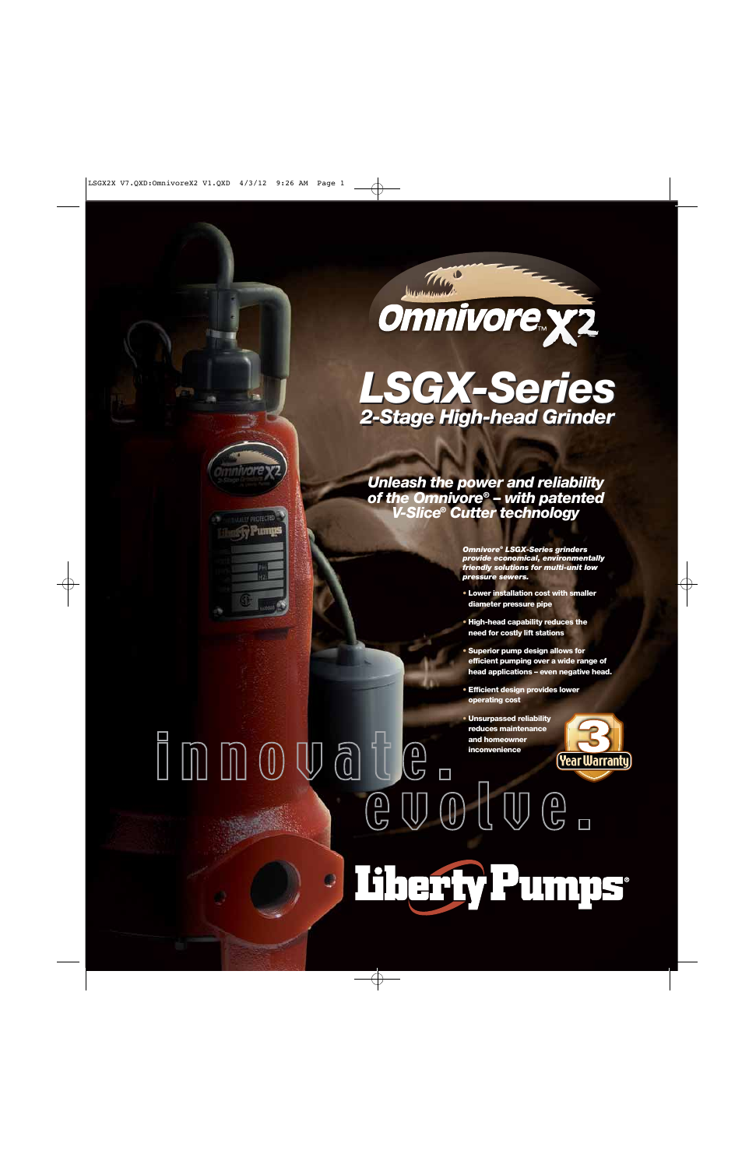

# *LSGX-Series LSGX-Series 2-Stage High-head Grinder 2-Stage High-head Grinder*

*Unleash the power and reliability of the Omnivore® – with patented V-Slice® Cutter technology*

y PROTECTED

 $\mathbb{U}$   $\mathbb{G}$   $\mathbb{U}$ 

IC

 $\Box$ 

*Omnivore® LSGX-Series grinders provide economical, environmentally friendly solutions for multi-unit low pressure sewers.*

- **• Lower installation cost with smaller diameter pressure pipe**
- **• High-head capability reduces the need for costly lift stations**
- **• Superior pump design allows for efficient pumping over a wide range of head applications – even negative head.**
- **• Efficient design provides lower operating cost**
- **• Unsurpassed reliability reduces maintenance and homeowner inconvenience**



 $\left(\begin{smallmatrix} 0 \ \end{smallmatrix}\right)$   $\left(\begin{smallmatrix} 0 \ \end{smallmatrix}\right)$  $\begin{picture}(22,20) \put(0,0){\line(1,0){155}} \put(15,0){\line(1,0){155}} \put(15,0){\line(1,0){155}} \put(15,0){\line(1,0){155}} \put(15,0){\line(1,0){155}} \put(15,0){\line(1,0){155}} \put(15,0){\line(1,0){155}} \put(15,0){\line(1,0){155}} \put(15,0){\line(1,0){155}} \put(15,0){\line(1,0){155}} \put(15,0){\line(1,0){155}} \$ Floerly Pumps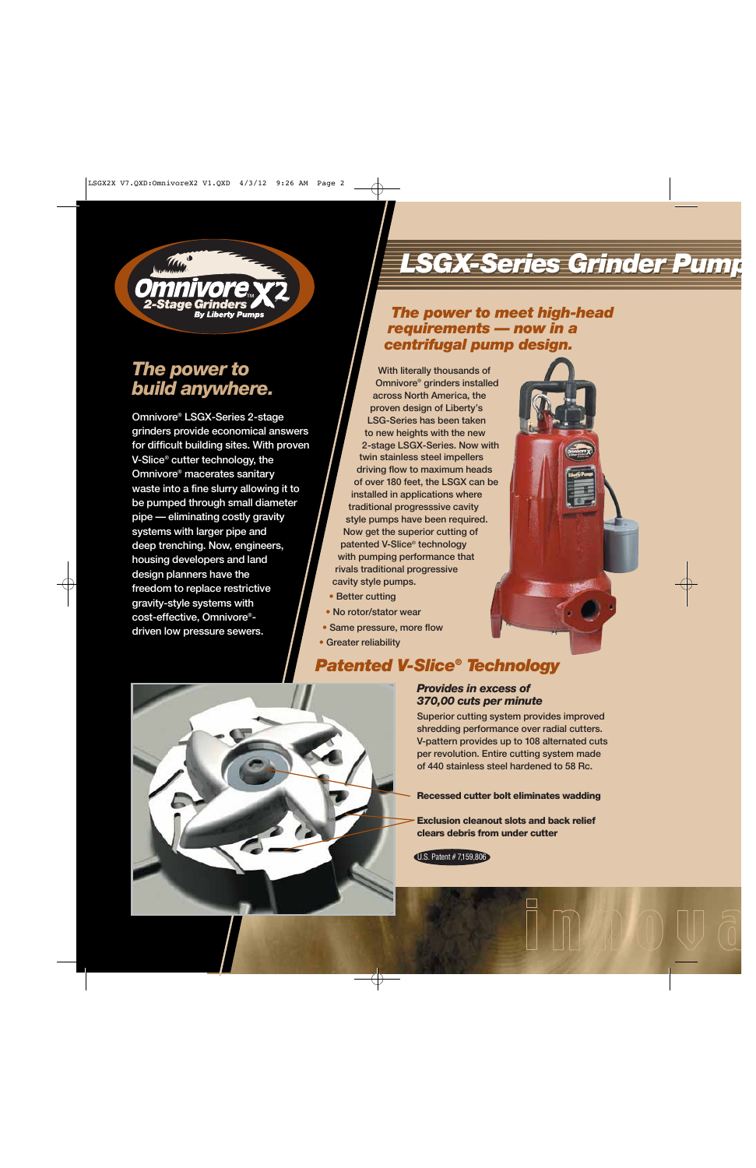

## *The power to build anywhere.*

**Omnivore® LSGX-Series 2-stage grinders provide economical answers for difficult building sites. With proven V-Slice® cutter technology, the Omnivore® macerates sanitary waste into a fine slurry allowing it to be pumped through small diameter pipe — eliminating costly gravity systems with larger pipe and deep trenching. Now, engineers, housing developers and land design planners have the freedom to replace restrictive gravity-style systems with cost-effective, Omnivore® driven low pressure sewers.**

# **LSGX-Series Grinder**

## *The power to meet high-head requirements — now in a centrifugal pump design.*

**With literally thousands of Omnivore® grinders installed across North America, the proven design of Liberty's LSG-Series has been taken to new heights with the new 2-stage LSGX-Series. Now with twin stainless steel impellers driving flow to maximum heads of over 180 feet, the LSGX can be installed in applications where traditional progresssive cavity style pumps have been required. Now get the superior cutting of patented V-Slice® technology with pumping performance that rivals traditional progressive cavity style pumps.**

- **• Better cutting**
- **• No rotor/stator wear**
- **• Same pressure, more flow**
- **• Greater reliability**

## *Patented V-Slice® Technology*

## *Provides in excess of 370,00 cuts per minute*

**Superior cutting system provides improved shredding performance over radial cutters. V-pattern provides up to 108 alternated cuts per revolution. Entire cutting system made of 440 stainless steel hardened to 58 Rc.**

**Recessed cutter bolt eliminates wadding**

**Exclusion cleanout slots and back relief clears debris from under cutter**

U.S. Patent # 7,159,806

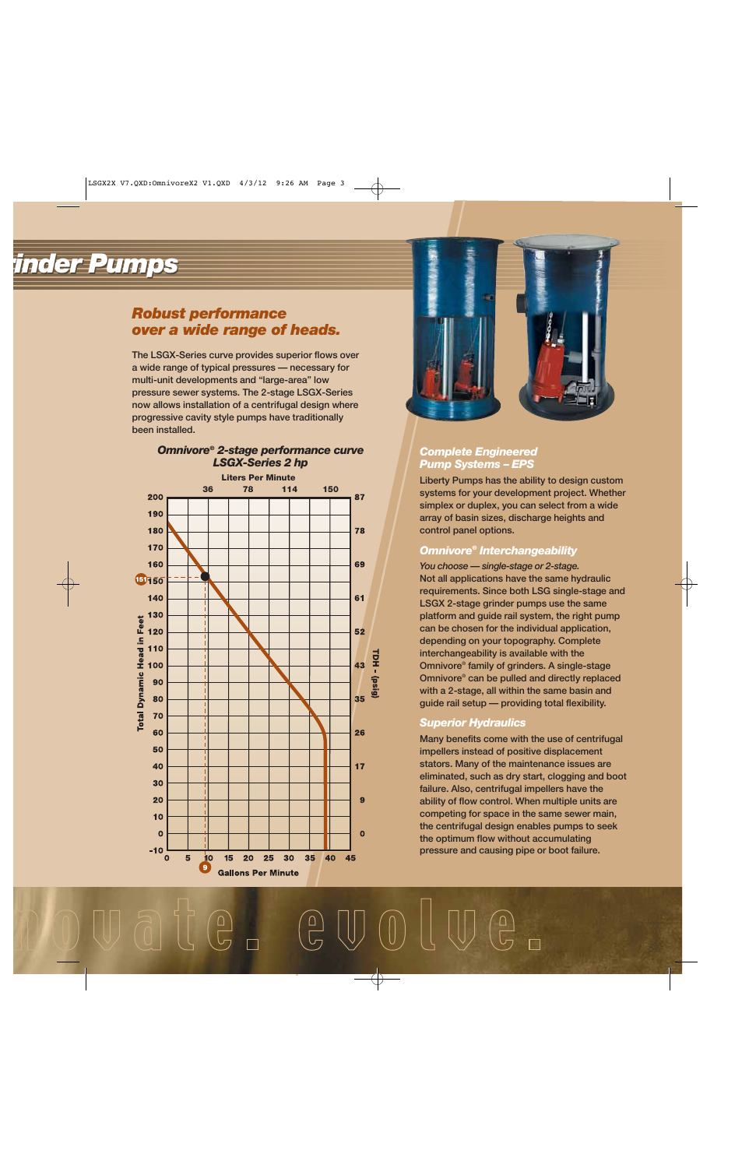# *rinder Pumps rinder Pumps*

## *Robust performance over a wide range of heads.*

**The LSGX-Series curve provides superior flows over a wide range of typical pressures — necessary for multi-unit developments and "large-area" low pressure sewer systems. The 2-stage LSGX-Series now allows installation of a centrifugal design where progressive cavity style pumps have traditionally been installed.**

#### *Omnivore® 2-stage performance curve LSGX-Series 2 hp*





### *Complete Engineered Pump Systems – EPS*

**Liberty Pumps has the ability to design custom systems for your development project. Whether simplex or duplex, you can select from a wide array of basin sizes, discharge heights and control panel options.**

## *Omnivore® Interchangeability*

*You choose — single-stage or 2-stage.* **Not all applications have the same hydraulic requirements. Since both LSG single-stage and LSGX 2-stage grinder pumps use the same platform and guide rail system, the right pump can be chosen for the individual application, depending on your topography. Complete interchangeability is available with the Omnivore® family of grinders. A single-stage Omnivore® can be pulled and directly replaced with a 2-stage, all within the same basin and guide rail setup — providing total flexibility.**

### *Superior Hydraulics*

**Many benefits come with the use of centrifugal impellers instead of positive displacement stators. Many of the maintenance issues are eliminated, such as dry start, clogging and boot failure. Also, centrifugal impellers have the ability of flow control. When multiple units are competing for space in the same sewer main, the centrifugal design enables pumps to seek the optimum flow without accumulating pressure and causing pipe or boot failure.**